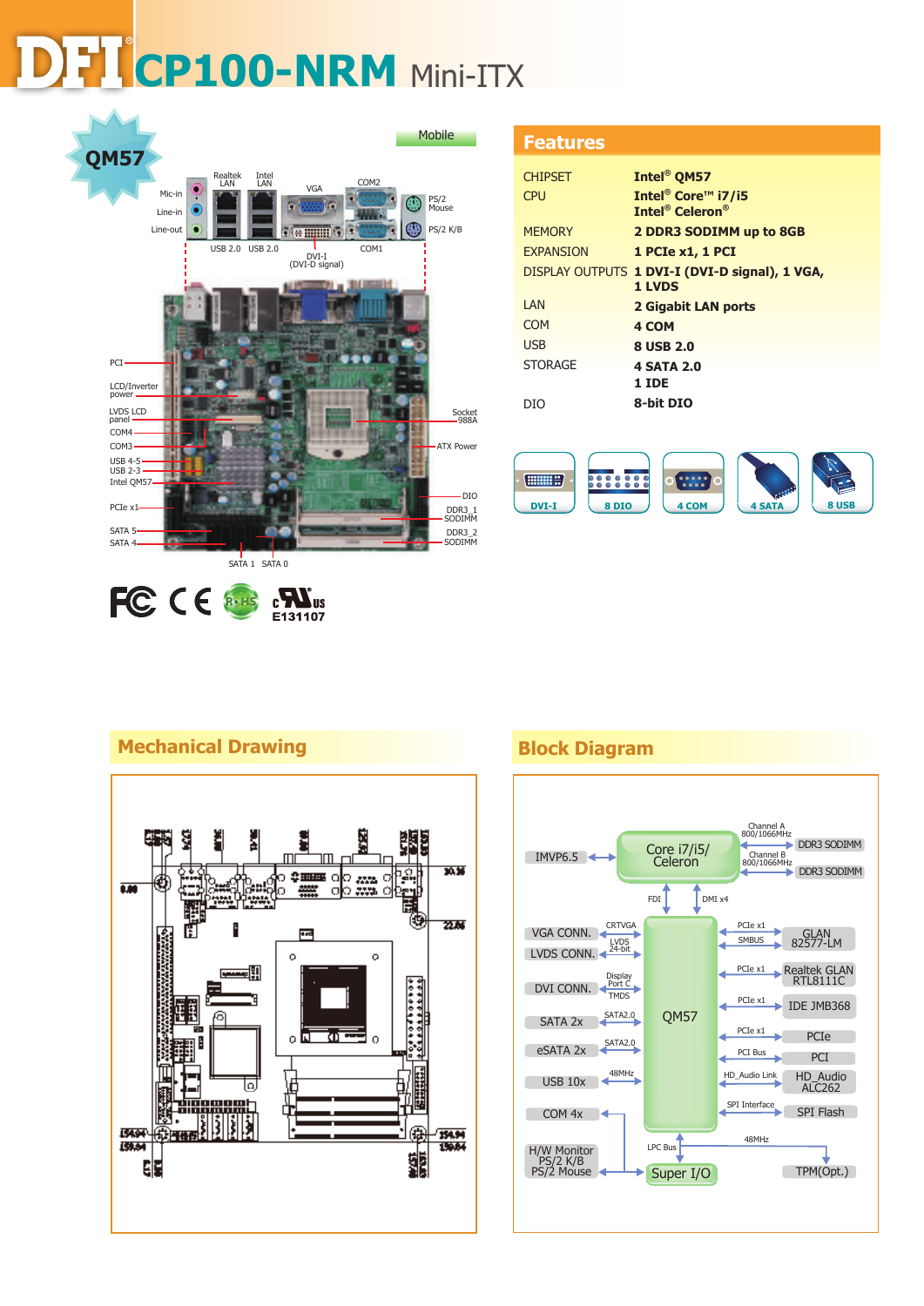# **CP100-NRM** Mini-ITX **CP100-NRM** Mini-ITX



| - 3 |  | ٠ |
|-----|--|---|
|     |  |   |

| <b>CHIPSET</b>   | Intel <sup>®</sup> QM57                                                                    |
|------------------|--------------------------------------------------------------------------------------------|
| <b>CPU</b>       | Intel <sup>®</sup> Core <sup>™</sup> i7/i5<br><b>Intel<sup>®</sup> Celeron<sup>®</sup></b> |
| <b>MEMORY</b>    | 2 DDR3 SODIMM up to 8GB                                                                    |
| <b>EXPANSION</b> | 1 PCIe x1, 1 PCI                                                                           |
|                  | DISPLAY OUTPUTS 1 DVI-I (DVI-D signal), 1 VGA,<br>1 LVDS                                   |
| <b>IAN</b>       | 2 Gigabit LAN ports                                                                        |
| COM              | 4 COM                                                                                      |
| <b>USB</b>       | 8 USB 2.0                                                                                  |
| <b>STORAGE</b>   | <b>4 SATA 2.0</b>                                                                          |
|                  | 1 IDE                                                                                      |
| DIO              | 8-bit DIO                                                                                  |



# **Mechanical Drawing Block Diagram**